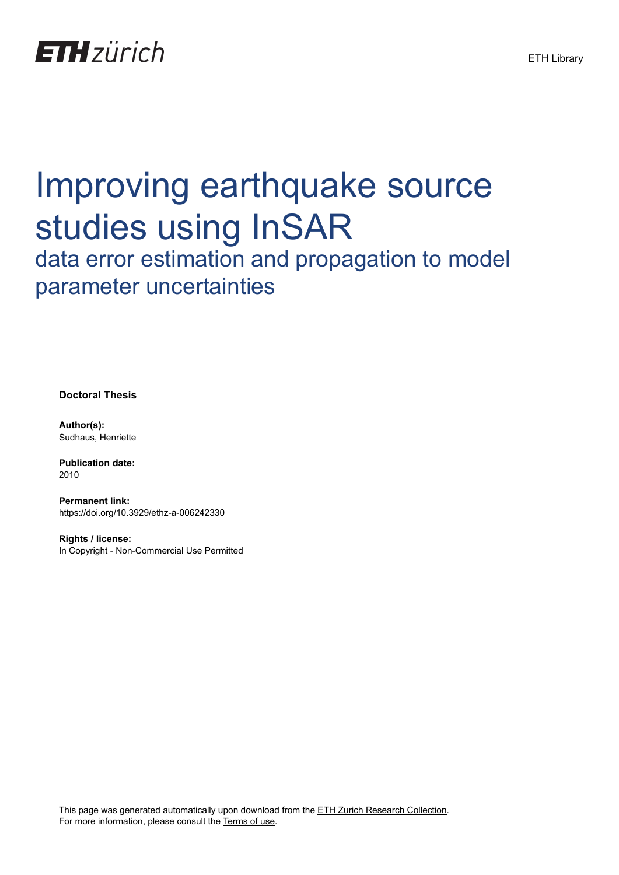

# Improving earthquake source studies using InSAR

data error estimation and propagation to model parameter uncertainties

**Doctoral Thesis**

**Author(s):** Sudhaus, Henriette

**Publication date:** 2010

**Permanent link:** <https://doi.org/10.3929/ethz-a-006242330>

**Rights / license:** [In Copyright - Non-Commercial Use Permitted](http://rightsstatements.org/page/InC-NC/1.0/)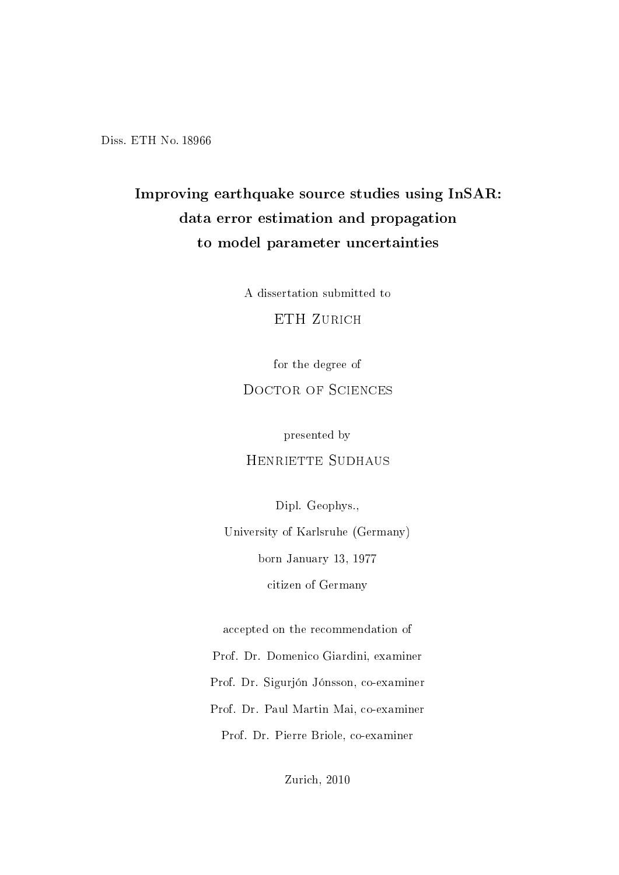Diss. ETH No. 18966

### Improving earthquake source studies using InSAR: data error estimation and propagation to model parameter uncertainties

A dissertation submitted to

ETH ZURICH

for the degree of

#### DOCTOR OF SCIENCES

presented by

HENRIETTE SUDHAUS

Dipl. Geophys.,

University of Karlsruhe (Germany) born January 13, 1977 citizen of Germany

accepted on the recommendation of

Prof. Dr. Domenico Giardini, examiner

Prof. Dr. Sigurjón Jónsson, co-examiner

Prof. Dr. Paul Martin Mai, co-examiner Prof. Dr. Pierre Briole, co-examiner

Zurich, 2010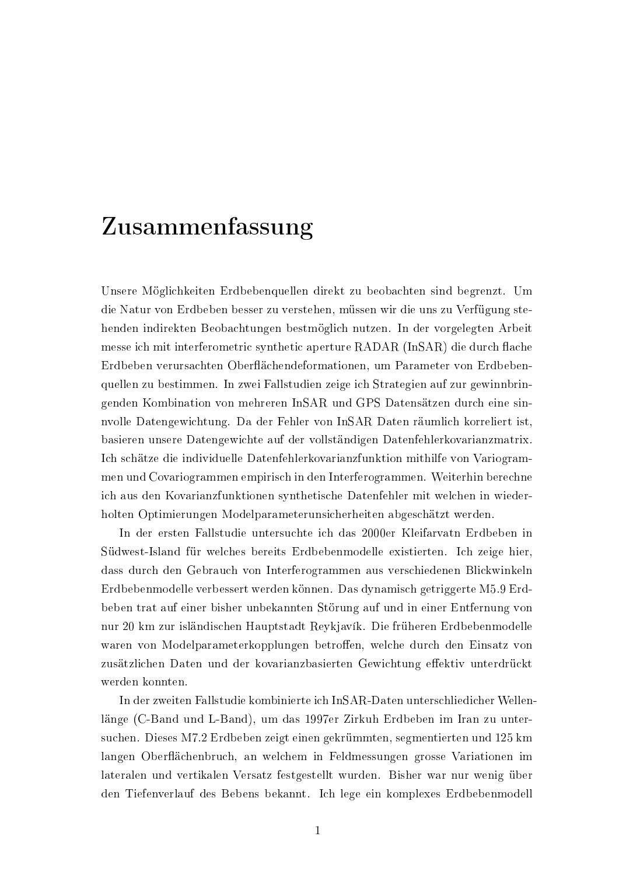## Zusammenfassung

Unsere Möglichkeiten Erdbebenguellen direkt zu beobachten sind begrenzt. Um die Natur von Erdbeben besser zu verstehen, müssen wir die uns zu Verfügung stehenden indirekten Beobachtungen bestmöglich nutzen. In der vorgelegten Arbeit messe ich mit interferometric synthetic aperture RADAR (InSAR) die durch flache Erdbeben verursachten Oberflächendeformationen, um Parameter von Erdbebenquellen zu bestimmen. In zwei Fallstudien zeige ich Strategien auf zur gewinnbringenden Kombination von mehreren InSAR und GPS Datensätzen durch eine sinnvolle Datengewichtung. Da der Fehler von InSAR Daten räumlich korreliert ist, basieren unsere Datengewichte auf der vollständigen Datenfehlerkovarianzmatrix. Ich schätze die individuelle Datenfehlerkovarianzfunktion mithilfe von Variogrammen und Covariogrammen empirisch in den Interferogrammen. Weiterhin berechne ich aus den Kovarianzfunktionen synthetische Datenfehler mit welchen in wiederholten Optimierungen Modelparameterunsicherheiten abgeschätzt werden.

In der ersten Fallstudie untersuchte ich das 2000er Kleifarvatn Erdbeben in Südwest-Island für welches bereits Erdbebenmodelle existierten. Ich zeige hier. dass durch den Gebrauch von Interferogrammen aus verschiedenen Blickwinkeln Erdbebenmodelle verbessert werden können. Das dynamisch getriggerte M5.9 Erdbeben trat auf einer bisher unbekannten Störung auf und in einer Entfernung von nur 20 km zur isländischen Hauptstadt Reykjavík. Die früheren Erdbebenmodelle waren von Modelparameterkopplungen betroffen, welche durch den Einsatz von zusätzlichen Daten und der kovarianzbasierten Gewichtung effektiv unterdrückt werden konnten.

In der zweiten Fallstudie kombinierte ich InSAR-Daten unterschliedicher Wellenlänge (C-Band und L-Band), um das 1997er Zirkuh Erdbeben im Iran zu untersuchen. Dieses M7.2 Erdbeben zeigt einen gekrümmten, segmentierten und 125 km langen Oberflächenbruch, an welchem in Feldmessungen grosse Variationen im lateralen und vertikalen Versatz festgestellt wurden. Bisher war nur wenig über den Tiefenverlauf des Bebens bekannt. Ich lege ein komplexes Erdbebenmodell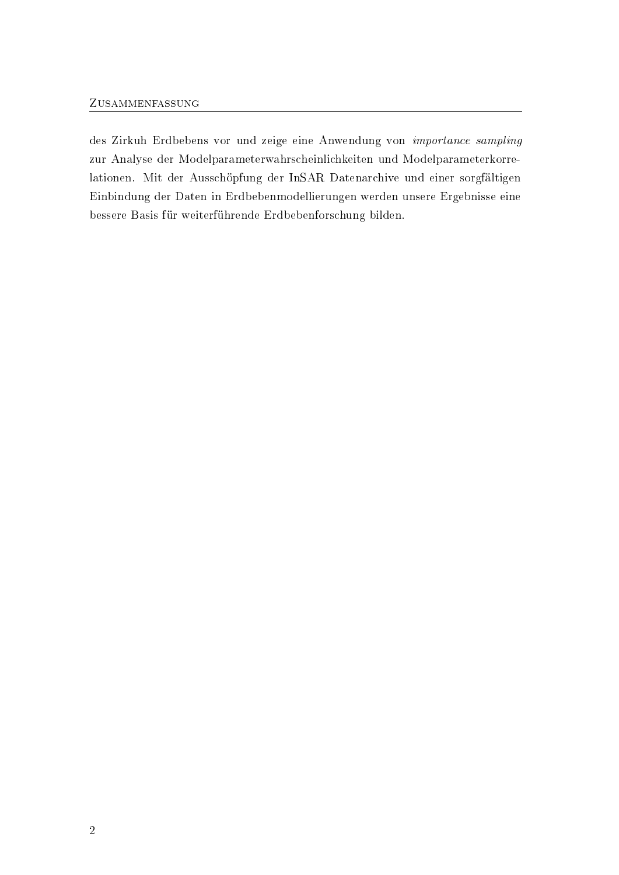#### ZUSAMMENFASSUNG

des Zirkuh Erdbebens vor und zeige eine Anwendung von importance sampling zur Analyse der Modelparameterwahrscheinlichkeiten und Modelparameterkorrelationen. Mit der Ausschöpfung der InSAR Datenarchive und einer sorgfältigen Einbindung der Daten in Erdbebenmodellierungen werden unsere Ergebnisse eine bessere Basis für weiterführende Erdbebenforschung bilden.